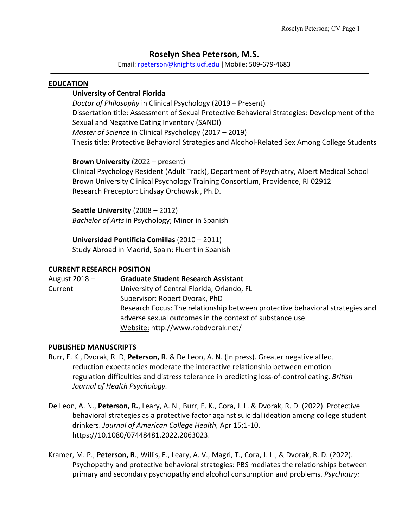# **Roselyn Shea Peterson, M.S.**

Email: rpeterson@knights.ucf.edu |Mobile: 509-679-4683

#### **EDUCATION**

## **University of Central Florida**

*Doctor of Philosophy* in Clinical Psychology (2019 – Present) Dissertation title: Assessment of Sexual Protective Behavioral Strategies: Development of the Sexual and Negative Dating Inventory (SANDI) *Master of Science* in Clinical Psychology (2017 – 2019) Thesis title: Protective Behavioral Strategies and Alcohol-Related Sex Among College Students

**Brown University** (2022 – present)

Clinical Psychology Resident (Adult Track), Department of Psychiatry, Alpert Medical School Brown University Clinical Psychology Training Consortium, Providence, RI 02912 Research Preceptor: Lindsay Orchowski, Ph.D.

**Seattle University** (2008 – 2012) *Bachelor of Arts* in Psychology; Minor in Spanish

**Universidad Pontificia Comillas** (2010 – 2011)

Study Abroad in Madrid, Spain; Fluent in Spanish

#### **CURRENT RESEARCH POSITION**

| August 2018 - | <b>Graduate Student Research Assistant</b>                                    |
|---------------|-------------------------------------------------------------------------------|
| Current       | University of Central Florida, Orlando, FL                                    |
|               | Supervisor: Robert Dvorak, PhD                                                |
|               | Research Focus: The relationship between protective behavioral strategies and |
|               | adverse sexual outcomes in the context of substance use                       |
|               | Website: http://www.robdvorak.net/                                            |

#### **PUBLISHED MANUSCRIPTS**

- Burr, E. K., Dvorak, R. D, **Peterson, R**. & De Leon, A. N. (In press). Greater negative affect reduction expectancies moderate the interactive relationship between emotion regulation difficulties and distress tolerance in predicting loss-of-control eating. *British Journal of Health Psychology.*
- De Leon, A. N., **Peterson, R.**, Leary, A. N., Burr, E. K., Cora, J. L. & Dvorak, R. D. (2022). Protective behavioral strategies as a protective factor against suicidal ideation among college student drinkers. *Journal of American College Health,* Apr 15;1-10. https://10.1080/07448481.2022.2063023.
- Kramer, M. P., **Peterson, R**., Willis, E., Leary, A. V., Magri, T., Cora, J. L., & Dvorak, R. D. (2022). Psychopathy and protective behavioral strategies: PBS mediates the relationships between primary and secondary psychopathy and alcohol consumption and problems. *Psychiatry:*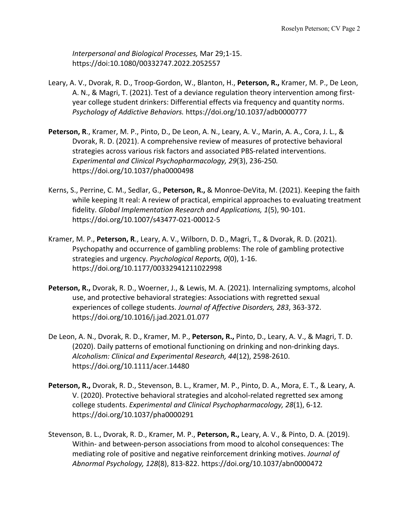*Interpersonal and Biological Processes,* Mar 29;1-15. https://doi:10.1080/00332747.2022.2052557

- Leary, A. V., Dvorak, R. D., Troop-Gordon, W., Blanton, H., **Peterson, R.,** Kramer, M. P., De Leon, A. N., & Magri, T. (2021). Test of a deviance regulation theory intervention among firstyear college student drinkers: Differential effects via frequency and quantity norms. *Psychology of Addictive Behaviors.* https://doi.org/10.1037/adb0000777
- **Peterson, R**., Kramer, M. P., Pinto, D., De Leon, A. N., Leary, A. V., Marin, A. A., Cora, J. L., & Dvorak, R. D. (2021). A comprehensive review of measures of protective behavioral strategies across various risk factors and associated PBS-related interventions. *Experimental and Clinical Psychopharmacology, 29*(3), 236-250*.*  https://doi.org/10.1037/pha0000498
- Kerns, S., Perrine, C. M., Sedlar, G., **Peterson, R.,** & Monroe-DeVita, M. (2021). Keeping the faith while keeping It real: A review of practical, empirical approaches to evaluating treatment fidelity. *Global Implementation Research and Applications, 1*(5), 90-101. https://doi.org/10.1007/s43477-021-00012-5
- Kramer, M. P., **Peterson, R**., Leary, A. V., Wilborn, D. D., Magri, T., & Dvorak, R. D. (2021). Psychopathy and occurrence of gambling problems: The role of gambling protective strategies and urgency. *Psychological Reports, 0*(0), 1-16. https://doi.org/10.1177/00332941211022998
- **Peterson, R.,** Dvorak, R. D., Woerner, J., & Lewis, M. A. (2021). Internalizing symptoms, alcohol use, and protective behavioral strategies: Associations with regretted sexual experiences of college students. *Journal of Affective Disorders, 283*, 363-372. https://doi.org/10.1016/j.jad.2021.01.077
- De Leon, A. N., Dvorak, R. D., Kramer, M. P., **Peterson, R.,** Pinto, D., Leary, A. V., & Magri, T. D. (2020). Daily patterns of emotional functioning on drinking and non-drinking days. *Alcoholism: Clinical and Experimental Research, 44*(12), 2598-2610. https://doi.org/10.1111/acer.14480
- **Peterson, R.,** Dvorak, R. D., Stevenson, B. L., Kramer, M. P., Pinto, D. A., Mora, E. T., & Leary, A. V. (2020). Protective behavioral strategies and alcohol-related regretted sex among college students. *Experimental and Clinical Psychopharmacology, 28*(1), 6-12*.* https://doi.org/10.1037/pha0000291
- Stevenson, B. L., Dvorak, R. D., Kramer, M. P., **Peterson, R.,** Leary, A. V., & Pinto, D. A. (2019). Within- and between-person associations from mood to alcohol consequences: The mediating role of positive and negative reinforcement drinking motives. *Journal of Abnormal Psychology, 128*(8), 813-822. https://doi.org/10.1037/abn0000472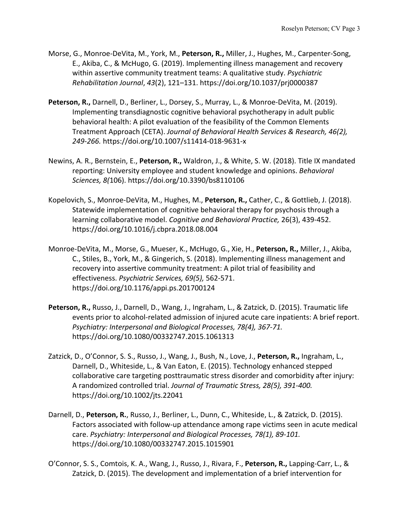- Morse, G., Monroe-DeVita, M., York, M., **Peterson, R.,** Miller, J., Hughes, M., Carpenter-Song, E., Akiba, C., & McHugo, G. (2019). Implementing illness management and recovery within assertive community treatment teams: A qualitative study. *Psychiatric Rehabilitation Journal*, *43*(2), 121–131. https://doi.org/10.1037/prj0000387
- Peterson, R., Darnell, D., Berliner, L., Dorsey, S., Murray, L., & Monroe-DeVita, M. (2019). Implementing transdiagnostic cognitive behavioral psychotherapy in adult public behavioral health: A pilot evaluation of the feasibility of the Common Elements Treatment Approach (CETA). *Journal of Behavioral Health Services & Research, 46(2), 249-266.* https://doi.org/10.1007/s11414-018-9631-x
- Newins, A. R., Bernstein, E., **Peterson, R.,** Waldron, J., & White, S. W. (2018). Title IX mandated reporting: University employee and student knowledge and opinions. *Behavioral Sciences, 8(*106). https://doi.org/10.3390/bs8110106
- Kopelovich, S., Monroe-DeVita, M., Hughes, M., **Peterson, R.,** Cather, C., & Gottlieb, J. (2018). Statewide implementation of cognitive behavioral therapy for psychosis through a learning collaborative model. *Cognitive and Behavioral Practice,* 26(3), 439-452. https://doi.org/10.1016/j.cbpra.2018.08.004
- Monroe-DeVita, M., Morse, G., Mueser, K., McHugo, G., Xie, H., **Peterson, R.,** Miller, J., Akiba, C., Stiles, B., York, M., & Gingerich, S. (2018). Implementing illness management and recovery into assertive community treatment: A pilot trial of feasibility and effectiveness. *Psychiatric Services, 69(5),* 562-571. https://doi.org/10.1176/appi.ps.201700124
- Peterson, R., Russo, J., Darnell, D., Wang, J., Ingraham, L., & Zatzick, D. (2015). Traumatic life events prior to alcohol-related admission of injured acute care inpatients: A brief report. *Psychiatry: Interpersonal and Biological Processes, 78(4), 367-71.*  https://doi.org/10.1080/00332747.2015.1061313
- Zatzick, D., O'Connor, S. S., Russo, J., Wang, J., Bush, N., Love, J., **Peterson, R.,** Ingraham, L., Darnell, D., Whiteside, L., & Van Eaton, E. (2015). Technology enhanced stepped collaborative care targeting posttraumatic stress disorder and comorbidity after injury: A randomized controlled trial. *Journal of Traumatic Stress, 28(5), 391-400.*  https://doi.org/10.1002/jts.22041
- Darnell, D., **Peterson, R.**, Russo, J., Berliner, L., Dunn, C., Whiteside, L., & Zatzick, D. (2015). Factors associated with follow-up attendance among rape victims seen in acute medical care. *Psychiatry: Interpersonal and Biological Processes, 78(1), 89-101.* https://doi.org/10.1080/00332747.2015.1015901
- O'Connor, S. S., Comtois, K. A., Wang, J., Russo, J., Rivara, F., **Peterson, R.,** Lapping-Carr, L., & Zatzick, D. (2015). The development and implementation of a brief intervention for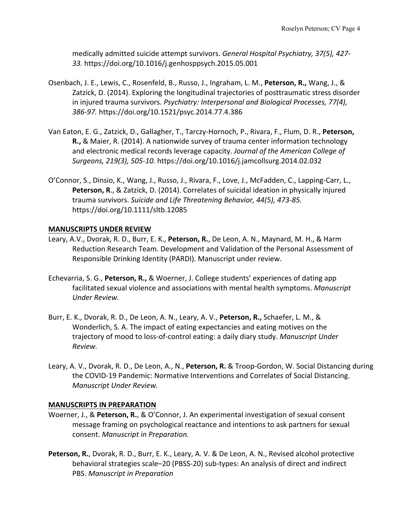medically admitted suicide attempt survivors. *General Hospital Psychiatry, 37(5), 427- 33.* https://doi.org/10.1016/j.genhosppsych.2015.05.001

- Osenbach, J. E., Lewis, C., Rosenfeld, B., Russo, J., Ingraham, L. M., **Peterson, R.,** Wang, J., & Zatzick, D. (2014). Exploring the longitudinal trajectories of posttraumatic stress disorder in injured trauma survivors. *Psychiatry: Interpersonal and Biological Processes, 77(4), 386-97.* https://doi.org/10.1521/psyc.2014.77.4.386
- Van Eaton, E. G., Zatzick, D., Gallagher, T., Tarczy-Hornoch, P., Rivara, F., Flum, D. R., **Peterson, R.,** & Maier, R. (2014). A nationwide survey of trauma center information technology and electronic medical records leverage capacity. *Journal of the American College of Surgeons, 219(3), 505-10.* https://doi.org/10.1016/j.jamcollsurg.2014.02.032
- O'Connor, S., Dinsio, K., Wang, J., Russo, J., Rivara, F., Love, J., McFadden, C., Lapping-Carr, L., **Peterson, R**., & Zatzick, D. (2014). Correlates of suicidal ideation in physically injured trauma survivors. *Suicide and Life Threatening Behavior, 44(5), 473-85.*  https://doi.org/10.1111/sltb.12085

## **MANUSCRIPTS UNDER REVIEW**

- Leary, A.V., Dvorak, R. D., Burr, E. K., **Peterson, R.**, De Leon, A. N., Maynard, M. H., & Harm Reduction Research Team. Development and Validation of the Personal Assessment of Responsible Drinking Identity (PARDI). Manuscript under review.
- Echevarria, S. G., **Peterson, R.,** & Woerner, J. College students' experiences of dating app facilitated sexual violence and associations with mental health symptoms. *Manuscript Under Review.*
- Burr, E. K., Dvorak, R. D., De Leon, A. N., Leary, A. V., **Peterson, R.,** Schaefer, L. M., & Wonderlich, S. A. The impact of eating expectancies and eating motives on the trajectory of mood to loss-of-control eating: a daily diary study. *Manuscript Under Review.*
- Leary, A. V., Dvorak, R. D., De Leon, A., N., **Peterson, R.** & Troop-Gordon, W. Social Distancing during the COVID-19 Pandemic: Normative Interventions and Correlates of Social Distancing. *Manuscript Under Review.*

## **MANUSCRIPTS IN PREPARATION**

- Woerner, J., & **Peterson, R.**, & O'Connor, J. An experimental investigation of sexual consent message framing on psychological reactance and intentions to ask partners for sexual consent. *Manuscript in Preparation.*
- Peterson, R., Dvorak, R. D., Burr, E. K., Leary, A. V. & De Leon, A. N., Revised alcohol protective behavioral strategies scale–20 (PBSS-20) sub-types: An analysis of direct and indirect PBS. *Manuscript in Preparation*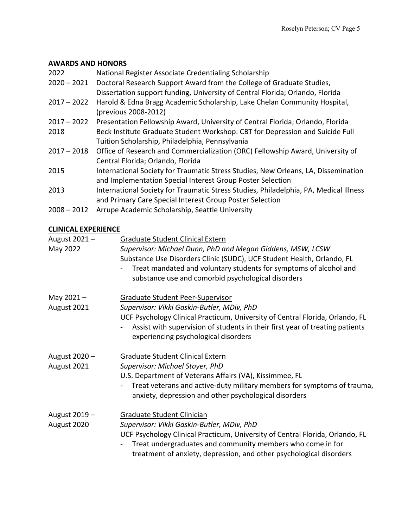# **AWARDS AND HONORS**

| 2022          | National Register Associate Credentialing Scholarship                                 |
|---------------|---------------------------------------------------------------------------------------|
| $2020 - 2021$ | Doctoral Research Support Award from the College of Graduate Studies,                 |
|               | Dissertation support funding, University of Central Florida; Orlando, Florida         |
| $2017 - 2022$ | Harold & Edna Bragg Academic Scholarship, Lake Chelan Community Hospital,             |
|               | (previous 2008-2012)                                                                  |
| $2017 - 2022$ | Presentation Fellowship Award, University of Central Florida; Orlando, Florida        |
| 2018          | Beck Institute Graduate Student Workshop: CBT for Depression and Suicide Full         |
|               | Tuition Scholarship, Philadelphia, Pennsylvania                                       |
| $2017 - 2018$ | Office of Research and Commercialization (ORC) Fellowship Award, University of        |
|               | Central Florida; Orlando, Florida                                                     |
| 2015          | International Society for Traumatic Stress Studies, New Orleans, LA, Dissemination    |
|               | and Implementation Special Interest Group Poster Selection                            |
| 2013          | International Society for Traumatic Stress Studies, Philadelphia, PA, Medical Illness |
|               | and Primary Care Special Interest Group Poster Selection                              |
| $2008 - 2012$ | Arrupe Academic Scholarship, Seattle University                                       |

# **CLINICAL EXPERIENCE**

| August 2021-<br>May 2022     | Graduate Student Clinical Extern<br>Supervisor: Michael Dunn, PhD and Megan Giddens, MSW, LCSW<br>Substance Use Disorders Clinic (SUDC), UCF Student Health, Orlando, FL<br>Treat mandated and voluntary students for symptoms of alcohol and<br>substance use and comorbid psychological disorders |
|------------------------------|-----------------------------------------------------------------------------------------------------------------------------------------------------------------------------------------------------------------------------------------------------------------------------------------------------|
| May $2021 -$<br>August 2021  | Graduate Student Peer-Supervisor<br>Supervisor: Vikki Gaskin-Butler, MDiv, PhD<br>UCF Psychology Clinical Practicum, University of Central Florida, Orlando, FL<br>Assist with supervision of students in their first year of treating patients<br>experiencing psychological disorders             |
| August 2020 -<br>August 2021 | <b>Graduate Student Clinical Extern</b><br>Supervisor: Michael Stoyer, PhD<br>U.S. Department of Veterans Affairs (VA), Kissimmee, FL<br>Treat veterans and active-duty military members for symptoms of trauma,<br>anxiety, depression and other psychological disorders                           |
| August 2019 -<br>August 2020 | Graduate Student Clinician<br>Supervisor: Vikki Gaskin-Butler, MDiv, PhD<br>UCF Psychology Clinical Practicum, University of Central Florida, Orlando, FL<br>Treat undergraduates and community members who come in for<br>treatment of anxiety, depression, and other psychological disorders      |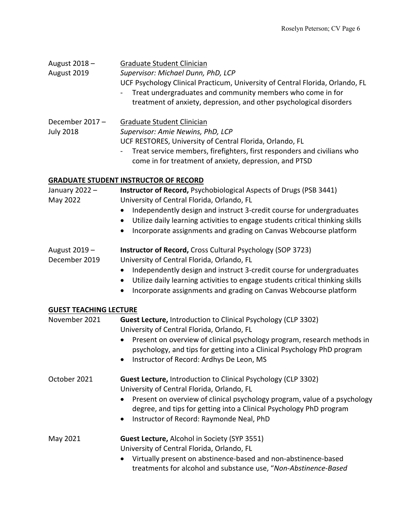| August 2018 -<br>August 2019       | Graduate Student Clinician<br>Supervisor: Michael Dunn, PhD, LCP<br>UCF Psychology Clinical Practicum, University of Central Florida, Orlando, FL<br>Treat undergraduates and community members who come in for<br>treatment of anxiety, depression, and other psychological disorders |
|------------------------------------|----------------------------------------------------------------------------------------------------------------------------------------------------------------------------------------------------------------------------------------------------------------------------------------|
| December 2017-<br><b>July 2018</b> | <b>Graduate Student Clinician</b><br>Supervisor: Amie Newins, PhD, LCP<br>UCF RESTORES, University of Central Florida, Orlando, FL<br>Treat service members, firefighters, first responders and civilians who<br>come in for treatment of anxiety, depression, and PTSD                |
|                                    | <b>GRADUATE STUDENT INSTRUCTOR OF RECORD</b>                                                                                                                                                                                                                                           |
| January 2022 -<br>May 2022         | Instructor of Record, Psychobiological Aspects of Drugs (PSB 3441)<br>University of Central Florida, Orlando, FL<br>Independently design and instruct 3-credit course for undergraduates<br>٠                                                                                          |
|                                    | Utilize daily learning activities to engage students critical thinking skills<br>٠<br>Incorporate assignments and grading on Canvas Webcourse platform<br>$\bullet$                                                                                                                    |
| August 2019 -<br>December 2019     | <b>Instructor of Record, Cross Cultural Psychology (SOP 3723)</b><br>University of Central Florida, Orlando, FL                                                                                                                                                                        |
|                                    | Independently design and instruct 3-credit course for undergraduates<br>٠                                                                                                                                                                                                              |
|                                    | Utilize daily learning activities to engage students critical thinking skills<br>$\bullet$                                                                                                                                                                                             |
|                                    | Incorporate assignments and grading on Canvas Webcourse platform<br>٠                                                                                                                                                                                                                  |
| <b>GUEST TEACHING LECTURE</b>      |                                                                                                                                                                                                                                                                                        |
| November 2021                      | <b>Guest Lecture, Introduction to Clinical Psychology (CLP 3302)</b><br>University of Central Florida, Orlando, FL                                                                                                                                                                     |
|                                    | Present on overview of clinical psychology program, research methods in                                                                                                                                                                                                                |
|                                    | psychology, and tips for getting into a Clinical Psychology PhD program                                                                                                                                                                                                                |
|                                    | Instructor of Record: Ardhys De Leon, MS                                                                                                                                                                                                                                               |
| October 2021                       | <b>Guest Lecture, Introduction to Clinical Psychology (CLP 3302)</b><br>University of Central Florida, Orlando, FL                                                                                                                                                                     |
|                                    | Present on overview of clinical psychology program, value of a psychology<br>degree, and tips for getting into a Clinical Psychology PhD program                                                                                                                                       |
|                                    | Instructor of Record: Raymonde Neal, PhD<br>٠                                                                                                                                                                                                                                          |
| May 2021                           | Guest Lecture, Alcohol in Society (SYP 3551)                                                                                                                                                                                                                                           |
|                                    | University of Central Florida, Orlando, FL                                                                                                                                                                                                                                             |
|                                    | Virtually present on abstinence-based and non-abstinence-based<br>$\bullet$<br>treatments for alcohol and substance use, "Non-Abstinence-Based                                                                                                                                         |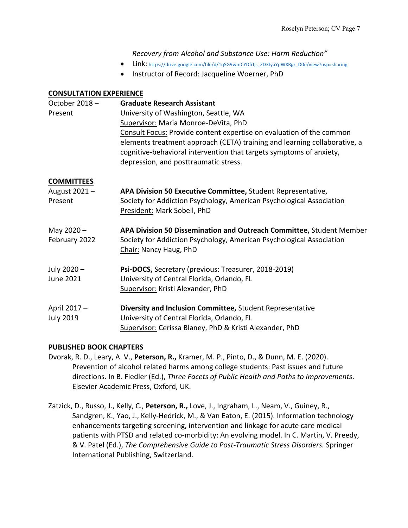*Recovery from Alcohol and Substance Use: Harm Reduction"*

- Link: https://drive.google.com/file/d/1qSG9wmCYDfrIjs\_ZD3fyaYpWXRgr\_D0e/view?usp=sharing
- Instructor of Record: Jacqueline Woerner, PhD

# **CONSULTATION EXPERIENCE**

| October 2018-<br>Present                     | <b>Graduate Research Assistant</b><br>University of Washington, Seattle, WA<br>Supervisor: Maria Monroe-DeVita, PhD<br>Consult Focus: Provide content expertise on evaluation of the common<br>elements treatment approach (CETA) training and learning collaborative, a<br>cognitive-behavioral intervention that targets symptoms of anxiety,<br>depression, and posttraumatic stress. |
|----------------------------------------------|------------------------------------------------------------------------------------------------------------------------------------------------------------------------------------------------------------------------------------------------------------------------------------------------------------------------------------------------------------------------------------------|
| <b>COMMITTEES</b><br>August 2021-<br>Present | APA Division 50 Executive Committee, Student Representative,<br>Society for Addiction Psychology, American Psychological Association<br>President: Mark Sobell, PhD                                                                                                                                                                                                                      |
| May 2020-<br>February 2022                   | APA Division 50 Dissemination and Outreach Committee, Student Member<br>Society for Addiction Psychology, American Psychological Association<br>Chair: Nancy Haug, PhD                                                                                                                                                                                                                   |
| July 2020 -<br>June 2021                     | Psi-DOCS, Secretary (previous: Treasurer, 2018-2019)<br>University of Central Florida, Orlando, FL<br>Supervisor: Kristi Alexander, PhD                                                                                                                                                                                                                                                  |
| April 2017 -<br><b>July 2019</b>             | Diversity and Inclusion Committee, Student Representative<br>University of Central Florida, Orlando, FL<br>Supervisor: Cerissa Blaney, PhD & Kristi Alexander, PhD                                                                                                                                                                                                                       |

# **PUBLISHED BOOK CHAPTERS**

- Dvorak, R. D., Leary, A. V., **Peterson, R.,** Kramer, M. P., Pinto, D., & Dunn, M. E. (2020). Prevention of alcohol related harms among college students: Past issues and future directions. In B. Fiedler (Ed.), *Three Facets of Public Health and Paths to Improvements*. Elsevier Academic Press, Oxford, UK.
- Zatzick, D., Russo, J., Kelly, C., **Peterson, R.,** Love, J., Ingraham, L., Neam, V., Guiney, R., Sandgren, K., Yao, J., Kelly-Hedrick, M., & Van Eaton, E. (2015). Information technology enhancements targeting screening, intervention and linkage for acute care medical patients with PTSD and related co-morbidity: An evolving model. In C. Martin, V. Preedy, & V. Patel (Ed.), *The Comprehensive Guide to Post-Traumatic Stress Disorders.* Springer International Publishing, Switzerland.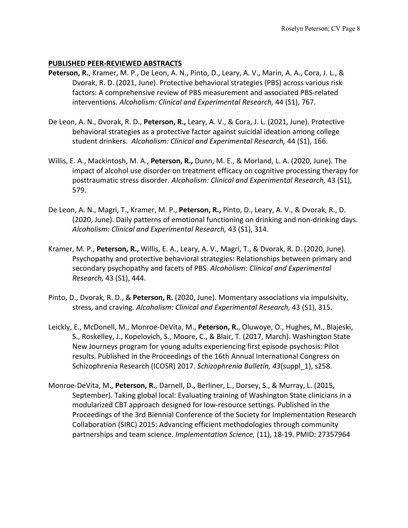## **PUBLISHED PEER-REVIEWED ABSTRACTS**

- **Peterson, R.**, Kramer, M. P., De Leon, A. N., Pinto, D., Leary, A. V., Marin, A. A., Cora, J. L., & Dvorak, R. D. (2021, June). Protective behavioral strategies (PBS) across various risk factors: A comprehensive review of PBS measurement and associated PBS-related interventions. *Alcoholism: Clinical and Experimental Research,* 44 (S1), 767.
- De Leon, A. N., Dvorak, R. D., **Peterson, R.,** Leary, A. V., & Cora, J. L. (2021, June). Protective behavioral strategies as a protective factor against suicidal ideation among college student drinkers. *Alcoholism: Clinical and Experimental Research,* 44 (S1), 166.
- Willis, E. A., Mackintosh, M. A., **Peterson, R.,** Dunn, M. E., & Morland, L. A. (2020, June). The impact of alcohol use disorder on treatment efficacy on cognitive processing therapy for posttraumatic stress disorder. *Alcoholism: Clinical and Experimental Research,* 43 (S1), 579.
- De Leon, A. N., Magri, T., Kramer, M. P., **Peterson, R.,** Pinto, D., Leary, A. V., & Dvorak, R., D. (2020, June). Daily patterns of emotional functioning on drinking and non-drinking days. *Alcoholism: Clinical and Experimental Research,* 43 (S1), 314.
- Kramer, M. P., **Peterson, R.,** Willis, E. A., Leary, A. V., Magri, T., & Dvorak, R. D. (2020, June). Psychopathy and protective behavioral strategies: Relationships between primary and secondary psychopathy and facets of PBS. *Alcoholism: Clinical and Experimental Research,* 43 (S1), 444.
- Pinto, D., Dvorak, R. D., & **Peterson, R.** (2020, June). Momentary associations via impulsivity, stress, and craving. *Alcoholism: Clinical and Experimental Research,* 43 (S1), 315.
- Leickly, E., McDonell, M., Monroe-DeVita, M., **Peterson, R.**, Oluwoye, O., Hughes, M., Blajeski, S., Roskelley, J., Kopelovich, S., Moore, C., & Blair, T. (2017, March). Washington State New Journeys program for young adults experiencing first episode psychosis: Pilot results. Published in the Proceedings of the 16th Annual International Congress on Schizophrenia Research (ICOSR) 2017. *Schizophrenia Bulletin, 43*(suppl\_1), s258.
- Monroe-DeVita, M., **Peterson, R.**, Darnell, D., Berliner, L., Dorsey, S., & Murray, L. (2015, September). Taking global local: Evaluating training of Washington State clinicians in a modularized CBT approach designed for low-resource settings. Published in the Proceedings of the 3rd Biennial Conference of the Society for Implementation Research Collaboration (SIRC) 2015: Advancing efficient methodologies through community partnerships and team science. *Implementation Science,* (11), 18-19. PMID: 27357964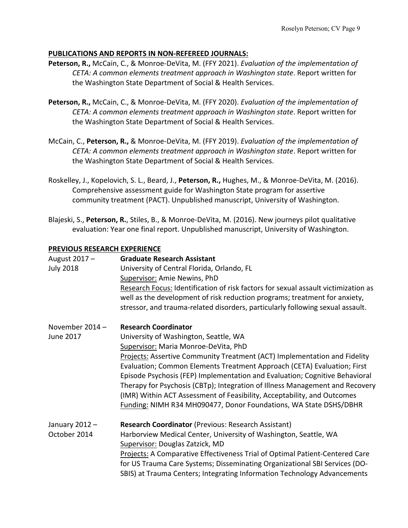# **PUBLICATIONS AND REPORTS IN NON-REFEREED JOURNALS:**

- **Peterson, R.,** McCain, C., & Monroe-DeVita, M. (FFY 2021). *Evaluation of the implementation of CETA: A common elements treatment approach in Washington state*. Report written for the Washington State Department of Social & Health Services.
- **Peterson, R.,** McCain, C., & Monroe-DeVita, M. (FFY 2020). *Evaluation of the implementation of CETA: A common elements treatment approach in Washington state*. Report written for the Washington State Department of Social & Health Services.
- McCain, C., **Peterson, R.,** & Monroe-DeVita, M. (FFY 2019). *Evaluation of the implementation of CETA: A common elements treatment approach in Washington state*. Report written for the Washington State Department of Social & Health Services.
- Roskelley, J., Kopelovich, S. L., Beard, J., **Peterson, R.,** Hughes, M., & Monroe-DeVita, M. (2016). Comprehensive assessment guide for Washington State program for assertive community treatment (PACT). Unpublished manuscript, University of Washington.
- Blajeski, S., **Peterson, R.**, Stiles, B., & Monroe-DeVita, M. (2016). New journeys pilot qualitative evaluation: Year one final report. Unpublished manuscript, University of Washington.

## **PREVIOUS RESEARCH EXPERIENCE**

| August 2017 -<br><b>July 2018</b> | <b>Graduate Research Assistant</b><br>University of Central Florida, Orlando, FL<br>Supervisor: Amie Newins, PhD<br>Research Focus: Identification of risk factors for sexual assault victimization as<br>well as the development of risk reduction programs; treatment for anxiety,<br>stressor, and trauma-related disorders, particularly following sexual assault.                                                                                              |
|-----------------------------------|---------------------------------------------------------------------------------------------------------------------------------------------------------------------------------------------------------------------------------------------------------------------------------------------------------------------------------------------------------------------------------------------------------------------------------------------------------------------|
| November 2014 -                   | <b>Research Coordinator</b>                                                                                                                                                                                                                                                                                                                                                                                                                                         |
| <b>June 2017</b>                  | University of Washington, Seattle, WA                                                                                                                                                                                                                                                                                                                                                                                                                               |
|                                   | Supervisor: Maria Monroe-DeVita, PhD                                                                                                                                                                                                                                                                                                                                                                                                                                |
|                                   | Projects: Assertive Community Treatment (ACT) Implementation and Fidelity<br>Evaluation; Common Elements Treatment Approach (CETA) Evaluation; First<br>Episode Psychosis (FEP) Implementation and Evaluation; Cognitive Behavioral<br>Therapy for Psychosis (CBTp); Integration of Illness Management and Recovery<br>(IMR) Within ACT Assessment of Feasibility, Acceptability, and Outcomes<br>Funding: NIMH R34 MH090477, Donor Foundations, WA State DSHS/DBHR |
| January 2012 -                    | <b>Research Coordinator (Previous: Research Assistant)</b>                                                                                                                                                                                                                                                                                                                                                                                                          |
| October 2014                      | Harborview Medical Center, University of Washington, Seattle, WA                                                                                                                                                                                                                                                                                                                                                                                                    |
|                                   | Supervisor: Douglas Zatzick, MD                                                                                                                                                                                                                                                                                                                                                                                                                                     |
|                                   | Projects: A Comparative Effectiveness Trial of Optimal Patient-Centered Care<br>for US Trauma Care Systems; Disseminating Organizational SBI Services (DO-<br>SBIS) at Trauma Centers; Integrating Information Technology Advancements                                                                                                                                                                                                                              |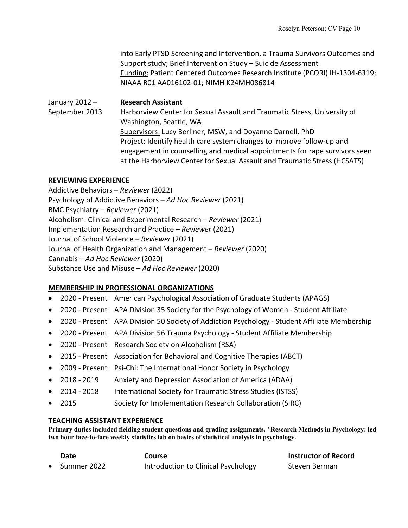into Early PTSD Screening and Intervention, a Trauma Survivors Outcomes and Support study; Brief Intervention Study – Suicide Assessment Funding: Patient Centered Outcomes Research Institute (PCORI) IH-1304-6319; NIAAA R01 AA016102-01; NIMH K24MH086814

January 2012 – **Research Assistant** September 2013 Harborview Center for Sexual Assault and Traumatic Stress, University of Washington, Seattle, WA Supervisors: Lucy Berliner, MSW, and Doyanne Darnell, PhD Project: Identify health care system changes to improve follow-up and engagement in counselling and medical appointments for rape survivors seen at the Harborview Center for Sexual Assault and Traumatic Stress (HCSATS)

### **REVIEWING EXPERIENCE**

Addictive Behaviors – *Reviewer* (2022) Psychology of Addictive Behaviors – *Ad Hoc Reviewer* (2021) BMC Psychiatry – *Reviewer* (2021) Alcoholism: Clinical and Experimental Research – *Reviewer* (2021) Implementation Research and Practice – *Reviewer* (2021) Journal of School Violence – *Reviewer* (2021) Journal of Health Organization and Management – *Reviewer* (2020) Cannabis – *Ad Hoc Reviewer* (2020) Substance Use and Misuse – *Ad Hoc Reviewer* (2020)

## **MEMBERSHIP IN PROFESSIONAL ORGANIZATIONS**

- 2020 Present American Psychological Association of Graduate Students (APAGS)
- 2020 Present APA Division 35 Society for the Psychology of Women Student Affiliate
- 2020 Present APA Division 50 Society of Addiction Psychology Student Affiliate Membership
- 2020 Present APA Division 56 Trauma Psychology Student Affiliate Membership
- 2020 Present Research Society on Alcoholism (RSA)
- 2015 Present Association for Behavioral and Cognitive Therapies (ABCT)
- 2009 Present Psi-Chi: The International Honor Society in Psychology
- 2018 2019 Anxiety and Depression Association of America (ADAA)
- 2014 2018 International Society for Traumatic Stress Studies (ISTSS)
- 2015 Society for Implementation Research Collaboration (SIRC)

#### **TEACHING ASSISTANT EXPERIENCE**

**Primary duties included fielding student questions and grading assignments. \*Research Methods in Psychology: led two hour face-to-face weekly statistics lab on basics of statistical analysis in psychology.** 

| Date                  | Course                              | <b>Instructor of Record</b> |
|-----------------------|-------------------------------------|-----------------------------|
| $\bullet$ Summer 2022 | Introduction to Clinical Psychology | Steven Berman               |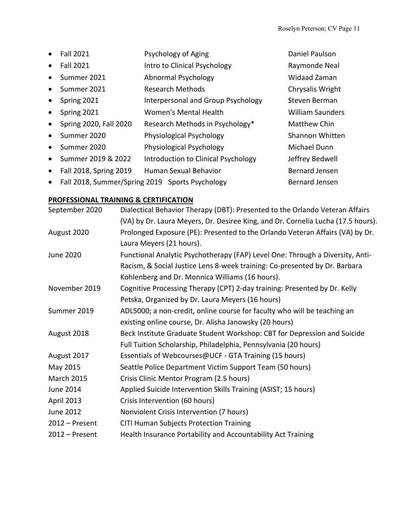|           | <b>Fall 2021</b>       | Psychology of Aging                             | Daniel Paulson          |
|-----------|------------------------|-------------------------------------------------|-------------------------|
|           | <b>Fall 2021</b>       | Intro to Clinical Psychology                    | Raymonde Neal           |
| $\bullet$ | Summer 2021            | Abnormal Psychology                             | <b>Widaad Zaman</b>     |
| $\bullet$ | Summer 2021            | Research Methods                                | Chrysalis Wright        |
| $\bullet$ | Spring 2021            | Interpersonal and Group Psychology              | Steven Berman           |
| $\bullet$ | Spring 2021            | Women's Mental Health                           | <b>William Saunders</b> |
| $\bullet$ | Spring 2020, Fall 2020 | Research Methods in Psychology*                 | <b>Matthew Chin</b>     |
|           | Summer 2020            | Physiological Psychology                        | Shannon Whitten         |
| $\bullet$ | Summer 2020            | Physiological Psychology                        | Michael Dunn            |
| $\bullet$ | Summer 2019 & 2022     | Introduction to Clinical Psychology             | Jeffrey Bedwell         |
| $\bullet$ | Fall 2018, Spring 2019 | Human Sexual Behavior                           | <b>Bernard Jensen</b>   |
|           |                        | Fall 2018, Summer/Spring 2019 Sports Psychology | <b>Bernard Jensen</b>   |

# **PROFESSIONAL TRAINING & CERTIFICATION**

| September 2020    | Dialectical Behavior Therapy (DBT): Presented to the Orlando Veteran Affairs     |
|-------------------|----------------------------------------------------------------------------------|
|                   | (VA) by Dr. Laura Meyers, Dr. Desiree King, and Dr. Cornelia Lucha (17.5 hours). |
| August 2020       | Prolonged Exposure (PE): Presented to the Orlando Veteran Affairs (VA) by Dr.    |
|                   | Laura Meyers (21 hours).                                                         |
| June 2020         | Functional Analytic Psychotherapy (FAP) Level One: Through a Diversity, Anti-    |
|                   | Racism, & Social Justice Lens 8-week training: Co-presented by Dr. Barbara       |
|                   | Kohlenberg and Dr. Monnica Williams (16 hours).                                  |
| November 2019     | Cognitive Processing Therapy (CPT) 2-day training: Presented by Dr. Kelly        |
|                   | Petska, Organized by Dr. Laura Meyers (16 hours)                                 |
| Summer 2019       | ADL5000; a non-credit, online course for faculty who will be teaching an         |
|                   | existing online course, Dr. Alisha Janowsky (20 hours)                           |
| August 2018       | Beck Institute Graduate Student Workshop: CBT for Depression and Suicide         |
|                   | Full Tuition Scholarship, Philadelphia, Pennsylvania (20 hours)                  |
| August 2017       | Essentials of Webcourses@UCF - GTA Training (15 hours)                           |
| May 2015          | Seattle Police Department Victim Support Team (50 hours)                         |
| <b>March 2015</b> | Crisis Clinic Mentor Program (2.5 hours)                                         |
| June 2014         | Applied Suicide Intervention Skills Training (ASIST; 15 hours)                   |
| April 2013        | Crisis Intervention (60 hours)                                                   |
| June 2012         | Nonviolent Crisis Intervention (7 hours)                                         |
| $2012$ – Present  | <b>CITI Human Subjects Protection Training</b>                                   |
| $2012$ – Present  | Health Insurance Portability and Accountability Act Training                     |
|                   |                                                                                  |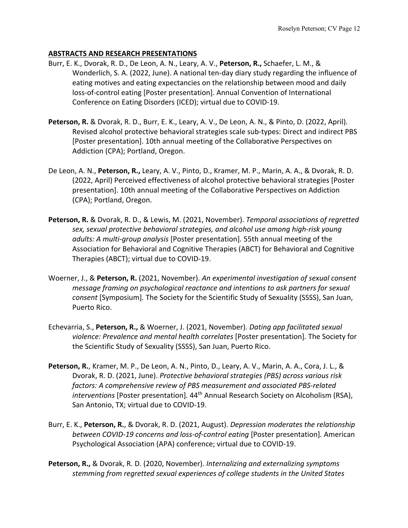## **ABSTRACTS AND RESEARCH PRESENTATIONS**

- Burr, E. K., Dvorak, R. D., De Leon, A. N., Leary, A. V., **Peterson, R.,** Schaefer, L. M., & Wonderlich, S. A. (2022, June). A national ten-day diary study regarding the influence of eating motives and eating expectancies on the relationship between mood and daily loss-of-control eating [Poster presentation]. Annual Convention of International Conference on Eating Disorders (ICED); virtual due to COVID-19.
- **Peterson, R.** & Dvorak, R. D., Burr, E. K., Leary, A. V., De Leon, A. N., & Pinto, D. (2022, April). Revised alcohol protective behavioral strategies scale sub-types: Direct and indirect PBS [Poster presentation]. 10th annual meeting of the Collaborative Perspectives on Addiction (CPA); Portland, Oregon.
- De Leon, A. N., **Peterson, R.,** Leary, A. V., Pinto, D., Kramer, M. P., Marin, A. A., & Dvorak, R. D. (2022, April) Perceived effectiveness of alcohol protective behavioral strategies [Poster presentation]. 10th annual meeting of the Collaborative Perspectives on Addiction (CPA); Portland, Oregon.
- **Peterson, R.** & Dvorak, R. D., & Lewis, M. (2021, November). *Temporal associations of regretted sex, sexual protective behavioral strategies, and alcohol use among high-risk young adults: A multi-group analysis* [Poster presentation]*.* 55th annual meeting of the Association for Behavioral and Cognitive Therapies (ABCT) for Behavioral and Cognitive Therapies (ABCT); virtual due to COVID-19.
- Woerner, J., & **Peterson, R.** (2021, November). *An experimental investigation of sexual consent message framing on psychological reactance and intentions to ask partners for sexual consent* [Symposium]*.* The Society for the Scientific Study of Sexuality (SSSS), San Juan, Puerto Rico.
- Echevarria, S., **Peterson, R.,** & Woerner, J. (2021, November). *Dating app facilitated sexual violence: Prevalence and mental health correlates* [Poster presentation]*.* The Society for the Scientific Study of Sexuality (SSSS), San Juan, Puerto Rico.
- **Peterson, R.**, Kramer, M. P., De Leon, A. N., Pinto, D., Leary, A. V., Marin, A. A., Cora, J. L., & Dvorak, R. D. (2021, June). *Protective behavioral strategies (PBS) across various risk factors: A comprehensive review of PBS measurement and associated PBS-related interventions* [Poster presentation]. 44<sup>th</sup> Annual Research Society on Alcoholism (RSA), San Antonio, TX; virtual due to COVID-19.
- Burr, E. K., **Peterson, R.**, & Dvorak, R. D. (2021, August). *Depression moderates the relationship between COVID-19 concerns and loss-of-control eating* [Poster presentation]*.* American Psychological Association (APA) conference; virtual due to COVID-19.
- **Peterson, R.,** & Dvorak, R. D. (2020, November). *Internalizing and externalizing symptoms stemming from regretted sexual experiences of college students in the United States*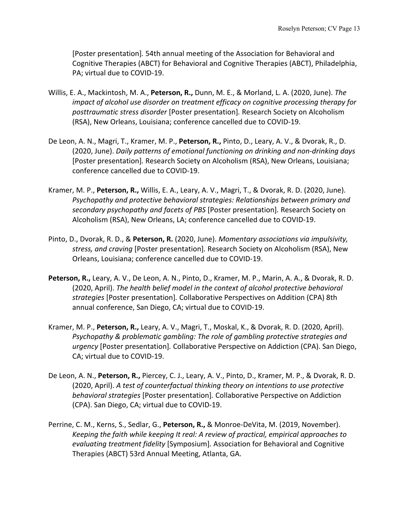[Poster presentation]*.* 54th annual meeting of the Association for Behavioral and Cognitive Therapies (ABCT) for Behavioral and Cognitive Therapies (ABCT), Philadelphia, PA; virtual due to COVID-19.

- Willis, E. A., Mackintosh, M. A., **Peterson, R.,** Dunn, M. E., & Morland, L. A. (2020, June). *The impact of alcohol use disorder on treatment efficacy on cognitive processing therapy for posttraumatic stress disorder* [Poster presentation]*.* Research Society on Alcoholism (RSA), New Orleans, Louisiana; conference cancelled due to COVID-19.
- De Leon, A. N., Magri, T., Kramer, M. P., **Peterson, R.,** Pinto, D., Leary, A. V., & Dvorak, R., D. (2020, June). *Daily patterns of emotional functioning on drinking and non-drinking days* [Poster presentation]*.* Research Society on Alcoholism (RSA), New Orleans, Louisiana; conference cancelled due to COVID-19.
- Kramer, M. P., **Peterson, R.,** Willis, E. A., Leary, A. V., Magri, T., & Dvorak, R. D. (2020, June). *Psychopathy and protective behavioral strategies: Relationships between primary and secondary psychopathy and facets of PBS* [Poster presentation]*.* Research Society on Alcoholism (RSA), New Orleans, LA; conference cancelled due to COVID-19.
- Pinto, D., Dvorak, R. D., & **Peterson, R.** (2020, June). *Momentary associations via impulsivity, stress, and craving* [Poster presentation]*.* Research Society on Alcoholism (RSA), New Orleans, Louisiana; conference cancelled due to COVID-19.
- **Peterson, R.,** Leary, A. V., De Leon, A. N., Pinto, D., Kramer, M. P., Marin, A. A., & Dvorak, R. D. (2020, April). *The health belief model in the context of alcohol protective behavioral strategies* [Poster presentation]*.* Collaborative Perspectives on Addition (CPA) 8th annual conference, San Diego, CA; virtual due to COVID-19.
- Kramer, M. P., **Peterson, R.,** Leary, A. V., Magri, T., Moskal, K., & Dvorak, R. D. (2020, April). *Psychopathy & problematic gambling: The role of gambling protective strategies and urgency* [Poster presentation]*.* Collaborative Perspective on Addiction (CPA). San Diego, CA; virtual due to COVID-19.
- De Leon, A. N., **Peterson, R.,** Piercey, C. J., Leary, A. V., Pinto, D., Kramer, M. P., & Dvorak, R. D. (2020, April). *A test of counterfactual thinking theory on intentions to use protective behavioral strategies* [Poster presentation]*.* Collaborative Perspective on Addiction (CPA). San Diego, CA; virtual due to COVID-19.
- Perrine, C. M., Kerns, S., Sedlar, G., **Peterson, R.,** & Monroe-DeVita, M. (2019, November). *Keeping the faith while keeping It real: A review of practical, empirical approaches to evaluating treatment fidelity* [Symposium]*.* Association for Behavioral and Cognitive Therapies (ABCT) 53rd Annual Meeting, Atlanta, GA.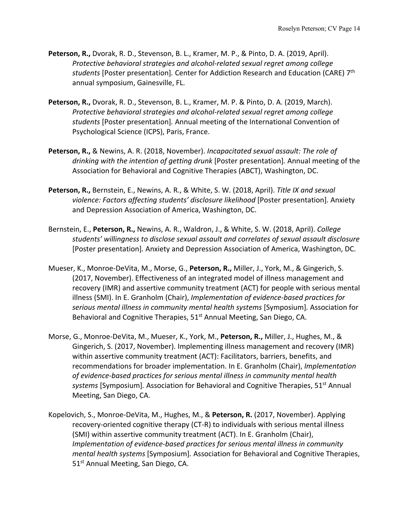- **Peterson, R.,** Dvorak, R. D., Stevenson, B. L., Kramer, M. P., & Pinto, D. A. (2019, April). *Protective behavioral strategies and alcohol-related sexual regret among college students* [Poster presentation]*.* Center for Addiction Research and Education (CARE) 7th annual symposium, Gainesville, FL.
- **Peterson, R.,** Dvorak, R. D., Stevenson, B. L., Kramer, M. P. & Pinto, D. A. (2019, March). *Protective behavioral strategies and alcohol-related sexual regret among college students* [Poster presentation]*.* Annual meeting of the International Convention of Psychological Science (ICPS), Paris, France.
- **Peterson, R.,** & Newins, A. R. (2018, November). *Incapacitated sexual assault: The role of drinking with the intention of getting drunk* [Poster presentation]*.* Annual meeting of the Association for Behavioral and Cognitive Therapies (ABCT), Washington, DC.
- **Peterson, R.,** Bernstein, E., Newins, A. R., & White, S. W. (2018, April). *Title IX and sexual violence: Factors affecting students' disclosure likelihood* [Poster presentation]*.* Anxiety and Depression Association of America, Washington, DC.
- Bernstein, E., **Peterson, R.,** Newins, A. R., Waldron, J., & White, S. W. (2018, April). *College students' willingness to disclose sexual assault and correlates of sexual assault disclosure* [Poster presentation]*.* Anxiety and Depression Association of America, Washington, DC.
- Mueser, K., Monroe-DeVita, M., Morse, G., **Peterson, R.,** Miller, J., York, M., & Gingerich, S. (2017, November). Effectiveness of an integrated model of illness management and recovery (IMR) and assertive community treatment (ACT) for people with serious mental illness (SMI). In E. Granholm (Chair), *Implementation of evidence-based practices for serious mental illness in community mental health systems* [Symposium]*.* Association for Behavioral and Cognitive Therapies, 51<sup>st</sup> Annual Meeting, San Diego, CA.
- Morse, G., Monroe-DeVita, M., Mueser, K., York, M., **Peterson, R.,** Miller, J., Hughes, M., & Gingerich, S. (2017, November). Implementing illness management and recovery (IMR) within assertive community treatment (ACT): Facilitators, barriers, benefits, and recommendations for broader implementation. In E. Granholm (Chair), *Implementation of evidence-based practices for serious mental illness in community mental health systems* [Symposium]*.* Association for Behavioral and Cognitive Therapies, 51st Annual Meeting, San Diego, CA.
- Kopelovich, S., Monroe-DeVita, M., Hughes, M., & **Peterson, R.** (2017, November). Applying recovery-oriented cognitive therapy (CT-R) to individuals with serious mental illness (SMI) within assertive community treatment (ACT). In E. Granholm (Chair), *Implementation of evidence-based practices for serious mental illness in community mental health systems* [Symposium]*.* Association for Behavioral and Cognitive Therapies, 51<sup>st</sup> Annual Meeting, San Diego, CA.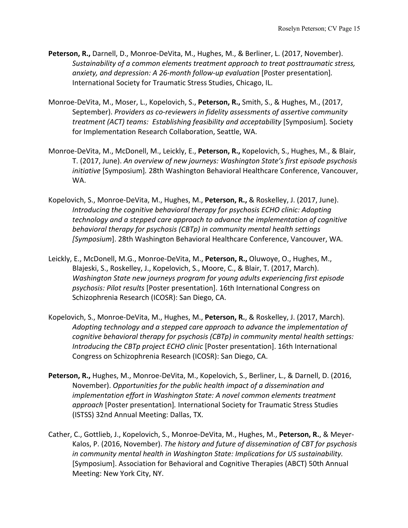- **Peterson, R.,** Darnell, D., Monroe-DeVita, M., Hughes, M., & Berliner, L. (2017, November). *Sustainability of a common elements treatment approach to treat posttraumatic stress, anxiety, and depression: A 26-month follow-up evaluation* [Poster presentation]*.* International Society for Traumatic Stress Studies, Chicago, IL.
- Monroe-DeVita, M., Moser, L., Kopelovich, S., **Peterson, R.,** Smith, S., & Hughes, M., (2017, September). *Providers as co-reviewers in fidelity assessments of assertive community treatment (ACT) teams: Establishing feasibility and acceptability* [Symposium]*.* Society for Implementation Research Collaboration, Seattle, WA.
- Monroe-DeVita, M., McDonell, M., Leickly, E., **Peterson, R.,** Kopelovich, S., Hughes, M., & Blair, T. (2017, June). *An overview of new journeys: Washington State's first episode psychosis initiative* [Symposium]*.* 28th Washington Behavioral Healthcare Conference, Vancouver, WA.
- Kopelovich, S., Monroe-DeVita, M., Hughes, M., **Peterson, R.,** & Roskelley, J. (2017, June). *Introducing the cognitive behavioral therapy for psychosis ECHO clinic: Adopting technology and a stepped care approach to advance the implementation of cognitive behavioral therapy for psychosis (CBTp) in community mental health settings [Symposium*]. 28th Washington Behavioral Healthcare Conference, Vancouver, WA.
- Leickly, E., McDonell, M.G., Monroe-DeVita, M., **Peterson, R.,** Oluwoye, O., Hughes, M., Blajeski, S., Roskelley, J., Kopelovich, S., Moore, C., & Blair, T. (2017, March). *Washington State new journeys program for young adults experiencing first episode psychosis: Pilot results* [Poster presentation]. 16th International Congress on Schizophrenia Research (ICOSR): San Diego, CA.
- Kopelovich, S., Monroe-DeVita, M., Hughes, M., **Peterson, R.**, & Roskelley, J. (2017, March). *Adopting technology and a stepped care approach to advance the implementation of cognitive behavioral therapy for psychosis (CBTp) in community mental health settings: Introducing the CBTp project ECHO clinic* [Poster presentation]. 16th International Congress on Schizophrenia Research (ICOSR): San Diego, CA.
- **Peterson, R.,** Hughes, M., Monroe-DeVita, M., Kopelovich, S., Berliner, L., & Darnell, D. (2016, November). *Opportunities for the public health impact of a dissemination and implementation effort in Washington State: A novel common elements treatment approach* [Poster presentation]*.* International Society for Traumatic Stress Studies (ISTSS) 32nd Annual Meeting: Dallas, TX.
- Cather, C., Gottlieb, J., Kopelovich, S., Monroe-DeVita, M., Hughes, M., **Peterson, R.**, & Meyer-Kalos, P. (2016, November). *The history and future of dissemination of CBT for psychosis in community mental health in Washington State: Implications for US sustainability.* [Symposium]. Association for Behavioral and Cognitive Therapies (ABCT) 50th Annual Meeting: New York City, NY.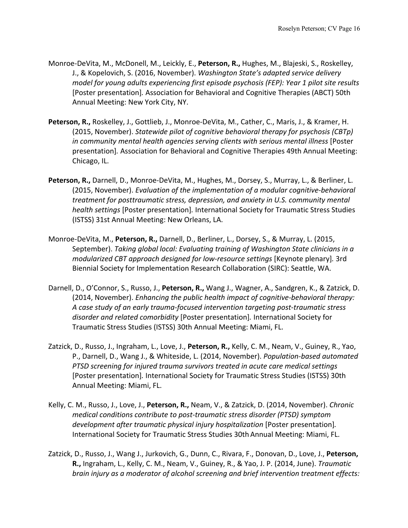- Monroe-DeVita, M., McDonell, M., Leickly, E., **Peterson, R.,** Hughes, M., Blajeski, S., Roskelley, J., & Kopelovich, S. (2016, November). *Washington State's adapted service delivery model for young adults experiencing first episode psychosis (FEP): Year 1 pilot site results* [Poster presentation]*.* Association for Behavioral and Cognitive Therapies (ABCT) 50th Annual Meeting: New York City, NY.
- **Peterson, R.,** Roskelley, J., Gottlieb, J., Monroe-DeVita, M., Cather, C., Maris, J., & Kramer, H. (2015, November). *Statewide pilot of cognitive behavioral therapy for psychosis (CBTp) in community mental health agencies serving clients with serious mental illness* [Poster presentation]*.* Association for Behavioral and Cognitive Therapies 49th Annual Meeting: Chicago, IL.
- **Peterson, R.,** Darnell, D., Monroe-DeVita, M., Hughes, M., Dorsey, S., Murray, L., & Berliner, L. (2015, November). *Evaluation of the implementation of a modular cognitive-behavioral treatment for posttraumatic stress, depression, and anxiety in U.S. community mental health settings* [Poster presentation]*.* International Society for Traumatic Stress Studies (ISTSS) 31st Annual Meeting: New Orleans, LA.
- Monroe-DeVita, M., **Peterson, R.,** Darnell, D., Berliner, L., Dorsey, S., & Murray, L. (2015, September). *Taking global local: Evaluating training of Washington State clinicians in a modularized CBT approach designed for low-resource settings* [Keynote plenary]*.* 3rd Biennial Society for Implementation Research Collaboration (SIRC): Seattle, WA.
- Darnell, D., O'Connor, S., Russo, J., **Peterson, R.,** Wang J., Wagner, A., Sandgren, K., & Zatzick, D. (2014, November). *Enhancing the public health impact of cognitive-behavioral therapy: A case study of an early trauma-focused intervention targeting post-traumatic stress disorder and related comorbidity* [Poster presentation]*.* International Society for Traumatic Stress Studies (ISTSS) 30th Annual Meeting: Miami, FL.
- Zatzick, D., Russo, J., Ingraham, L., Love, J., **Peterson, R.,** Kelly, C. M., Neam, V., Guiney, R., Yao, P., Darnell, D., Wang J., & Whiteside, L. (2014, November). *Population-based automated PTSD screening for injured trauma survivors treated in acute care medical settings* [Poster presentation]*.* International Society for Traumatic Stress Studies (ISTSS) 30th Annual Meeting: Miami, FL.
- Kelly, C. M., Russo, J., Love, J., **Peterson, R.,** Neam, V., & Zatzick, D. (2014, November). *Chronic medical conditions contribute to post-traumatic stress disorder (PTSD) symptom development after traumatic physical injury hospitalization* [Poster presentation]*.*  International Society for Traumatic Stress Studies 30th Annual Meeting: Miami, FL.
- Zatzick, D., Russo, J., Wang J., Jurkovich, G., Dunn, C., Rivara, F., Donovan, D., Love, J., **Peterson, R.,** Ingraham, L., Kelly, C. M., Neam, V., Guiney, R., & Yao, J. P. (2014, June). *Traumatic brain injury as a moderator of alcohol screening and brief intervention treatment effects:*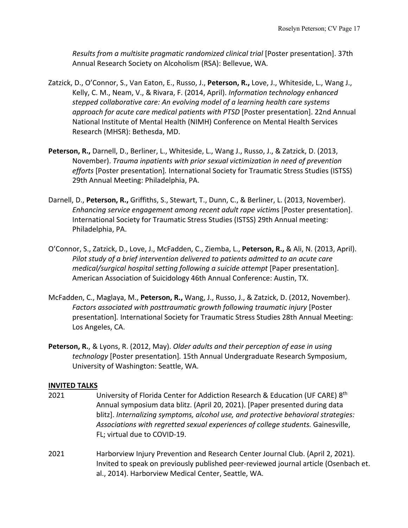*Results from a multisite pragmatic randomized clinical trial* [Poster presentation]. 37th Annual Research Society on Alcoholism (RSA): Bellevue, WA.

- Zatzick, D., O'Connor, S., Van Eaton, E., Russo, J., **Peterson, R.,** Love, J., Whiteside, L., Wang J., Kelly, C. M., Neam, V., & Rivara, F. (2014, April). *Information technology enhanced stepped collaborative care: An evolving model of a learning health care systems approach for acute care medical patients with PTSD* [Poster presentation]. 22nd Annual National Institute of Mental Health (NIMH) Conference on Mental Health Services Research (MHSR): Bethesda, MD.
- **Peterson, R.,** Darnell, D., Berliner, L., Whiteside, L., Wang J., Russo, J., & Zatzick, D. (2013, November). *Trauma inpatients with prior sexual victimization in need of prevention efforts* [Poster presentation]*.* International Society for Traumatic Stress Studies (ISTSS) 29th Annual Meeting: Philadelphia, PA.
- Darnell, D., **Peterson, R.,** Griffiths, S., Stewart, T., Dunn, C., & Berliner, L. (2013, November). *Enhancing service engagement among recent adult rape victim*s [Poster presentation]. International Society for Traumatic Stress Studies (ISTSS) 29th Annual meeting: Philadelphia, PA.
- O'Connor, S., Zatzick, D., Love, J., McFadden, C., Ziemba, L., **Peterson, R.,** & Ali, N. (2013, April). *Pilot study of a brief intervention delivered to patients admitted to an acute care medical/surgical hospital setting following a suicide attempt* [Paper presentation]. American Association of Suicidology 46th Annual Conference: Austin, TX.
- McFadden, C., Maglaya, M., **Peterson, R.,** Wang, J., Russo, J., & Zatzick, D. (2012, November). *Factors associated with posttraumatic growth following traumatic injury* [Poster presentation]*.* International Society for Traumatic Stress Studies 28th Annual Meeting: Los Angeles, CA.
- **Peterson, R.**, & Lyons, R. (2012, May). *Older adults and their perception of ease in using technology* [Poster presentation]*.* 15th Annual Undergraduate Research Symposium, University of Washington: Seattle, WA.

## **INVITED TALKS**

- 2021 University of Florida Center for Addiction Research & Education (UF CARE) 8<sup>th</sup> Annual symposium data blitz. (April 20, 2021). [Paper presented during data blitz]. *Internalizing symptoms, alcohol use, and protective behavioral strategies: Associations with regretted sexual experiences of college students.* Gainesville, FL; virtual due to COVID-19.
- 2021 Harborview Injury Prevention and Research Center Journal Club. (April 2, 2021). Invited to speak on previously published peer-reviewed journal article (Osenbach et. al., 2014). Harborview Medical Center, Seattle, WA.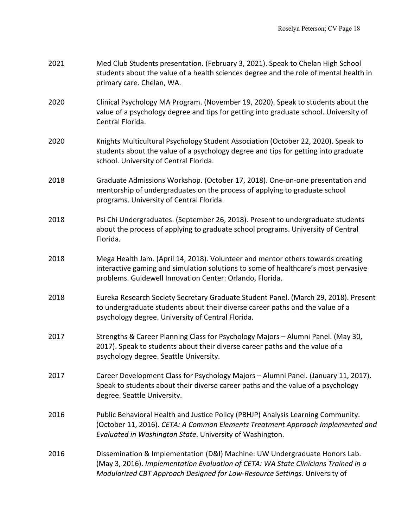| 2021 | Med Club Students presentation. (February 3, 2021). Speak to Chelan High School<br>students about the value of a health sciences degree and the role of mental health in<br>primary care. Chelan, WA.                                          |
|------|------------------------------------------------------------------------------------------------------------------------------------------------------------------------------------------------------------------------------------------------|
| 2020 | Clinical Psychology MA Program. (November 19, 2020). Speak to students about the<br>value of a psychology degree and tips for getting into graduate school. University of<br>Central Florida.                                                  |
| 2020 | Knights Multicultural Psychology Student Association (October 22, 2020). Speak to<br>students about the value of a psychology degree and tips for getting into graduate<br>school. University of Central Florida.                              |
| 2018 | Graduate Admissions Workshop. (October 17, 2018). One-on-one presentation and<br>mentorship of undergraduates on the process of applying to graduate school<br>programs. University of Central Florida.                                        |
| 2018 | Psi Chi Undergraduates. (September 26, 2018). Present to undergraduate students<br>about the process of applying to graduate school programs. University of Central<br>Florida.                                                                |
| 2018 | Mega Health Jam. (April 14, 2018). Volunteer and mentor others towards creating<br>interactive gaming and simulation solutions to some of healthcare's most pervasive<br>problems. Guidewell Innovation Center: Orlando, Florida.              |
| 2018 | Eureka Research Society Secretary Graduate Student Panel. (March 29, 2018). Present<br>to undergraduate students about their diverse career paths and the value of a<br>psychology degree. University of Central Florida.                      |
| 2017 | Strengths & Career Planning Class for Psychology Majors - Alumni Panel. (May 30,<br>2017). Speak to students about their diverse career paths and the value of a<br>psychology degree. Seattle University.                                     |
| 2017 | Career Development Class for Psychology Majors - Alumni Panel. (January 11, 2017).<br>Speak to students about their diverse career paths and the value of a psychology<br>degree. Seattle University.                                          |
| 2016 | Public Behavioral Health and Justice Policy (PBHJP) Analysis Learning Community.<br>(October 11, 2016). CETA: A Common Elements Treatment Approach Implemented and<br>Evaluated in Washington State. University of Washington.                 |
| 2016 | Dissemination & Implementation (D&I) Machine: UW Undergraduate Honors Lab.<br>(May 3, 2016). Implementation Evaluation of CETA: WA State Clinicians Trained in a<br>Modularized CBT Approach Designed for Low-Resource Settings. University of |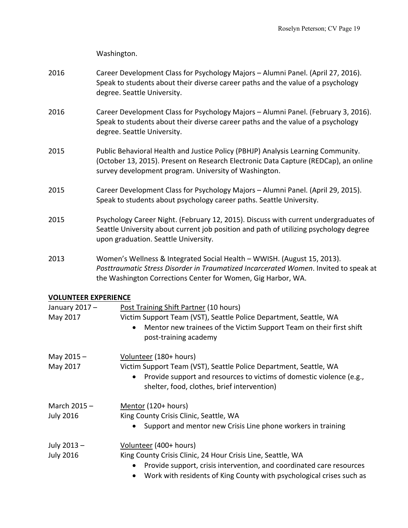Washington.

- 2016 Career Development Class for Psychology Majors Alumni Panel. (April 27, 2016). Speak to students about their diverse career paths and the value of a psychology degree. Seattle University.
- 2016 Career Development Class for Psychology Majors Alumni Panel. (February 3, 2016). Speak to students about their diverse career paths and the value of a psychology degree. Seattle University.
- 2015 Public Behavioral Health and Justice Policy (PBHJP) Analysis Learning Community. (October 13, 2015). Present on Research Electronic Data Capture (REDCap), an online survey development program. University of Washington.
- 2015 Career Development Class for Psychology Majors Alumni Panel. (April 29, 2015). Speak to students about psychology career paths. Seattle University.
- 2015 Psychology Career Night. (February 12, 2015). Discuss with current undergraduates of Seattle University about current job position and path of utilizing psychology degree upon graduation. Seattle University.
- 2013 Women's Wellness & Integrated Social Health WWISH. (August 15, 2013). *Posttraumatic Stress Disorder in Traumatized Incarcerated Women*. Invited to speak at the Washington Corrections Center for Women, Gig Harbor, WA.

#### **VOLUNTEER EXPERIENCE**

| January 2017-    | Post Training Shift Partner (10 hours)                                                                                           |
|------------------|----------------------------------------------------------------------------------------------------------------------------------|
| May 2017         | Victim Support Team (VST), Seattle Police Department, Seattle, WA                                                                |
|                  | Mentor new trainees of the Victim Support Team on their first shift<br>$\bullet$<br>post-training academy                        |
| May $2015 -$     | Volunteer (180+ hours)                                                                                                           |
| May 2017         | Victim Support Team (VST), Seattle Police Department, Seattle, WA                                                                |
|                  | Provide support and resources to victims of domestic violence (e.g.,<br>$\bullet$<br>shelter, food, clothes, brief intervention) |
| March $2015 -$   | Mentor (120+ hours)                                                                                                              |
| <b>July 2016</b> | King County Crisis Clinic, Seattle, WA                                                                                           |
|                  | Support and mentor new Crisis Line phone workers in training<br>$\bullet$                                                        |
| July 2013 -      | Volunteer (400+ hours)                                                                                                           |
| <b>July 2016</b> | King County Crisis Clinic, 24 Hour Crisis Line, Seattle, WA                                                                      |
|                  | Provide support, crisis intervention, and coordinated care resources                                                             |
|                  | Work with residents of King County with psychological crises such as<br>$\bullet$                                                |